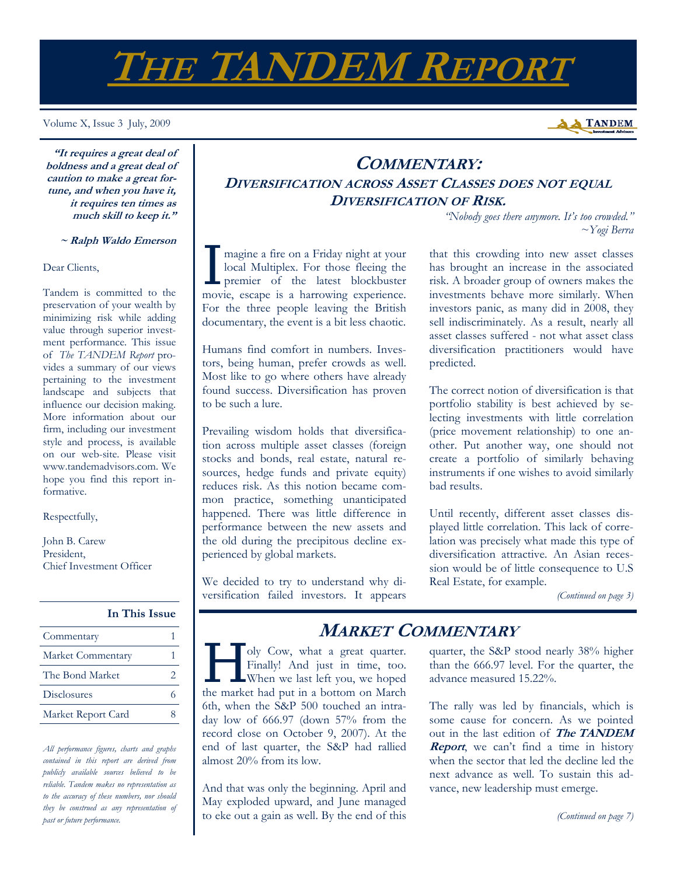# **THE TANDEM REPORT**

Volume X, Issue 3 July, 2009



*~Yogi Berra* 

**"It requires a great deal of boldness and a great deal of caution to make a great fortune, and when you have it, it requires ten times as much skill to keep it."** 

### **~ Ralph Waldo Emerson**

#### Dear Clients,

Tandem is committed to the preservation of your wealth by minimizing risk while adding value through superior investment performance. This issue of *The TANDEM Report* provides a summary of our views pertaining to the investment landscape and subjects that influence our decision making. More information about our firm, including our investment style and process, is available on our web-site. Please visit www.tandemadvisors.com. We hope you find this report informative.

Respectfully,

John B. Carew President, Chief Investment Officer

## **In This Issue**

| Commentary         |  |
|--------------------|--|
| Market Commentary  |  |
| The Bond Market    |  |
| Disclosures        |  |
| Market Report Card |  |

*All performance figures, charts and graphs contained in this report are derived from publicly available sources believed to be reliable. Tandem makes no representation as to the accuracy of these numbers, nor should they be construed as any representation of past or future performance.* 

*"Nobody goes there anymore. It's too crowded."*  I magine a fire on a Friday night at your<br>
local Multiplex. For those fleeing the<br>
premier of the latest blockbuster local Multiplex. For those fleeing the

**COMMENTARY: DIVERSIFICATION ACROSS ASSET CLASSES DOES NOT EQUAL DIVERSIFICATION OF RISK.** 

movie, escape is a harrowing experience. For the three people leaving the British documentary, the event is a bit less chaotic.

Humans find comfort in numbers. Investors, being human, prefer crowds as well. Most like to go where others have already found success. Diversification has proven to be such a lure.

Prevailing wisdom holds that diversification across multiple asset classes (foreign stocks and bonds, real estate, natural resources, hedge funds and private equity) reduces risk. As this notion became common practice, something unanticipated happened. There was little difference in performance between the new assets and the old during the precipitous decline experienced by global markets.

We decided to try to understand why diversification failed investors. It appears that this crowding into new asset classes has brought an increase in the associated risk. A broader group of owners makes the investments behave more similarly. When investors panic, as many did in 2008, they sell indiscriminately. As a result, nearly all asset classes suffered - not what asset class diversification practitioners would have predicted.

The correct notion of diversification is that portfolio stability is best achieved by selecting investments with little correlation (price movement relationship) to one another. Put another way, one should not create a portfolio of similarly behaving instruments if one wishes to avoid similarly bad results.

Until recently, different asset classes displayed little correlation. This lack of correlation was precisely what made this type of diversification attractive. An Asian recession would be of little consequence to U.S Real Estate, for example.

*(Continued on page 3)* 

I oly Cow, what a great quarter.<br>Finally! And just in time, too.<br>When we last left you, we hoped Finally! And just in time, too. When we last left you, we hoped the market had put in a bottom on March 6th, when the S&P 500 touched an intraday low of 666.97 (down 57% from the record close on October 9, 2007). At the end of last quarter, the S&P had rallied almost 20% from its low.

And that was only the beginning. April and May exploded upward, and June managed to eke out a gain as well. By the end of this

## **MARKET COMMENTARY**

quarter, the S&P stood nearly 38% higher than the 666.97 level. For the quarter, the advance measured 15.22%.

The rally was led by financials, which is some cause for concern. As we pointed out in the last edition of **The TANDEM Report**, we can't find a time in history when the sector that led the decline led the next advance as well. To sustain this advance, new leadership must emerge.

*(Continued on page 7)*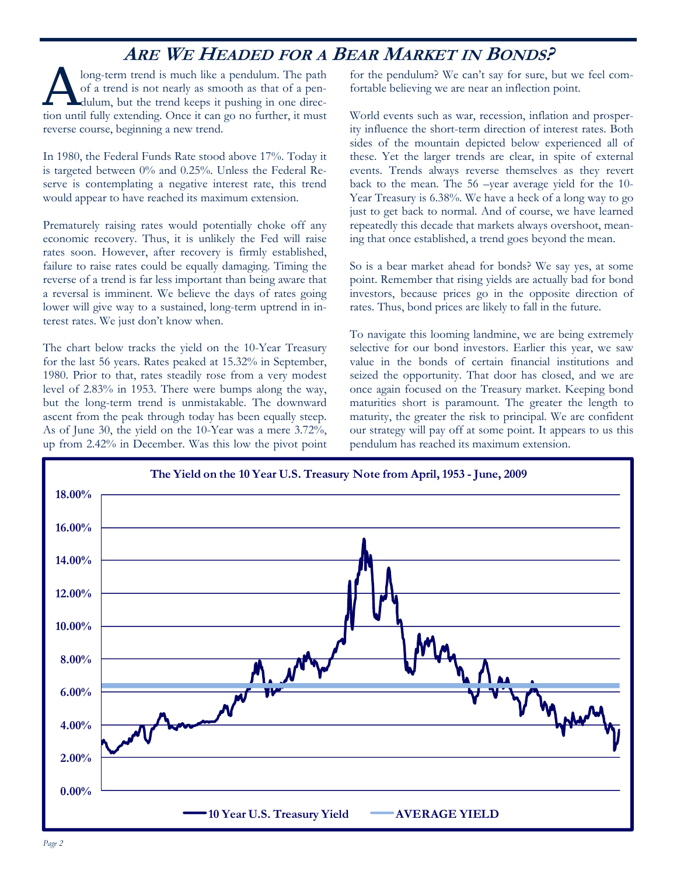## **ARE WE HEADED FOR A BEAR MARKET IN BONDS?**

long-term trend is much like a pendulum. The path of a trend is not nearly as smooth as that of a pendulum, but the trend keeps it pushing in one direction until fully extending. Once it can go no further, it must reverse course, beginning a new trend.

In 1980, the Federal Funds Rate stood above 17%. Today it is targeted between 0% and 0.25%. Unless the Federal Reserve is contemplating a negative interest rate, this trend would appear to have reached its maximum extension.

Prematurely raising rates would potentially choke off any economic recovery. Thus, it is unlikely the Fed will raise rates soon. However, after recovery is firmly established, failure to raise rates could be equally damaging. Timing the reverse of a trend is far less important than being aware that a reversal is imminent. We believe the days of rates going lower will give way to a sustained, long-term uptrend in interest rates. We just don't know when.

The chart below tracks the yield on the 10-Year Treasury for the last 56 years. Rates peaked at 15.32% in September, 1980. Prior to that, rates steadily rose from a very modest level of 2.83% in 1953. There were bumps along the way, but the long-term trend is unmistakable. The downward ascent from the peak through today has been equally steep. As of June 30, the yield on the 10-Year was a mere 3.72%, up from 2.42% in December. Was this low the pivot point for the pendulum? We can't say for sure, but we feel comfortable believing we are near an inflection point.

World events such as war, recession, inflation and prosperity influence the short-term direction of interest rates. Both sides of the mountain depicted below experienced all of these. Yet the larger trends are clear, in spite of external events. Trends always reverse themselves as they revert back to the mean. The 56 –year average yield for the 10- Year Treasury is 6.38%. We have a heck of a long way to go just to get back to normal. And of course, we have learned repeatedly this decade that markets always overshoot, meaning that once established, a trend goes beyond the mean.

So is a bear market ahead for bonds? We say yes, at some point. Remember that rising yields are actually bad for bond investors, because prices go in the opposite direction of rates. Thus, bond prices are likely to fall in the future.

To navigate this looming landmine, we are being extremely selective for our bond investors. Earlier this year, we saw value in the bonds of certain financial institutions and seized the opportunity. That door has closed, and we are once again focused on the Treasury market. Keeping bond maturities short is paramount. The greater the length to maturity, the greater the risk to principal. We are confident our strategy will pay off at some point. It appears to us this pendulum has reached its maximum extension.

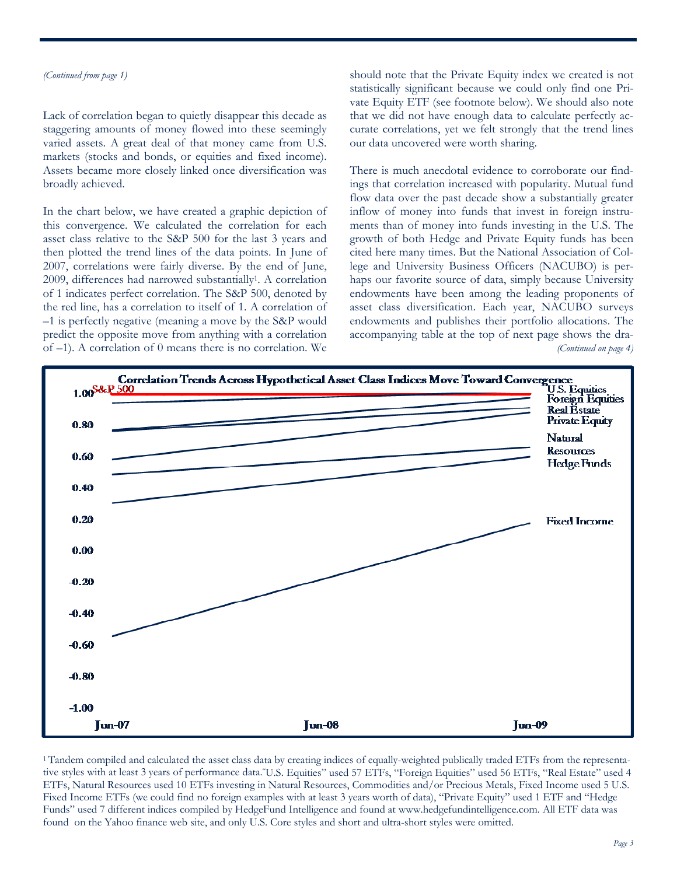#### *(Continued from page 1)*

Lack of correlation began to quietly disappear this decade as staggering amounts of money flowed into these seemingly varied assets. A great deal of that money came from U.S. markets (stocks and bonds, or equities and fixed income). Assets became more closely linked once diversification was broadly achieved.

In the chart below, we have created a graphic depiction of this convergence. We calculated the correlation for each asset class relative to the S&P 500 for the last 3 years and then plotted the trend lines of the data points. In June of 2007, correlations were fairly diverse. By the end of June, 2009, differences had narrowed substantially1. A correlation of 1 indicates perfect correlation. The S&P 500, denoted by the red line, has a correlation to itself of 1. A correlation of –1 is perfectly negative (meaning a move by the S&P would predict the opposite move from anything with a correlation of –1). A correlation of 0 means there is no correlation. We

should note that the Private Equity index we created is not statistically significant because we could only find one Private Equity ETF (see footnote below). We should also note that we did not have enough data to calculate perfectly accurate correlations, yet we felt strongly that the trend lines our data uncovered were worth sharing.

There is much anecdotal evidence to corroborate our findings that correlation increased with popularity. Mutual fund flow data over the past decade show a substantially greater inflow of money into funds that invest in foreign instruments than of money into funds investing in the U.S. The growth of both Hedge and Private Equity funds has been cited here many times. But the National Association of College and University Business Officers (NACUBO) is perhaps our favorite source of data, simply because University endowments have been among the leading proponents of asset class diversification. Each year, NACUBO surveys endowments and publishes their portfolio allocations. The accompanying table at the top of next page shows the dra- *(Continued on page 4)* 



1 Tandem compiled and calculated the asset class data by creating indices of equally-weighted publically traded ETFs from the representative styles with at least 3 years of performance data."U.S. Equities" used 57 ETFs, "Foreign Equities" used 56 ETFs, "Real Estate" used 4 ETFs, Natural Resources used 10 ETFs investing in Natural Resources, Commodities and/or Precious Metals, Fixed Income used 5 U.S. Fixed Income ETFs (we could find no foreign examples with at least 3 years worth of data), "Private Equity" used 1 ETF and "Hedge Funds" used 7 different indices compiled by HedgeFund Intelligence and found at www.hedgefundintelligence.com. All ETF data was found on the Yahoo finance web site, and only U.S. Core styles and short and ultra-short styles were omitted.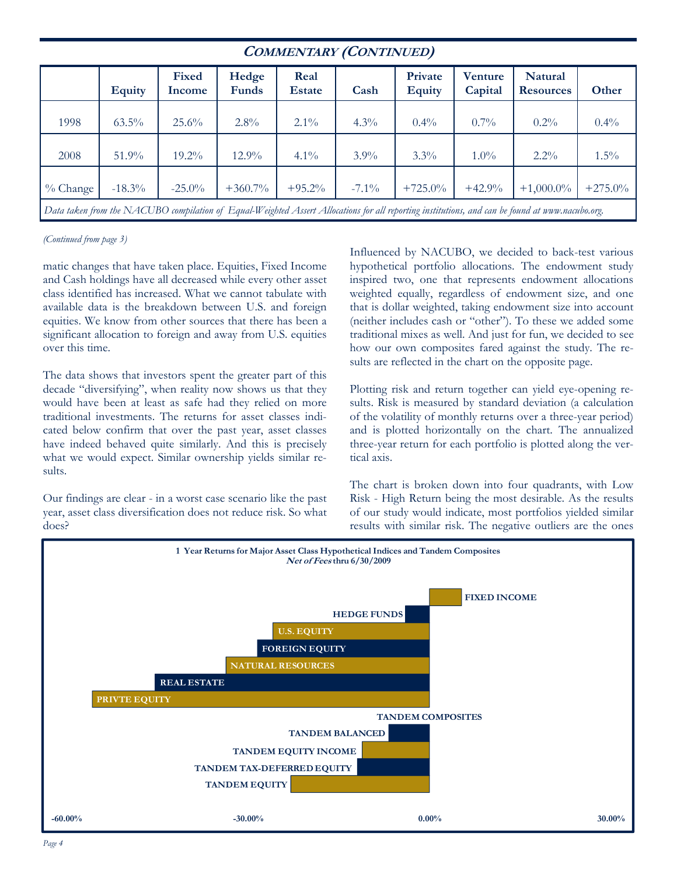| <b>COMMENTARY (CONTINUED)</b>                                                                                                                   |               |                 |                |                       |          |                          |                    |                             |            |  |
|-------------------------------------------------------------------------------------------------------------------------------------------------|---------------|-----------------|----------------|-----------------------|----------|--------------------------|--------------------|-----------------------------|------------|--|
|                                                                                                                                                 | <b>Equity</b> | Fixed<br>Income | Hedge<br>Funds | Real<br><b>Estate</b> | Cash     | Private<br><b>Equity</b> | Venture<br>Capital | Natural<br><b>Resources</b> | Other      |  |
| 1998                                                                                                                                            | $63.5\%$      | 25.6%           | $2.8\%$        | $2.1\%$               | $4.3\%$  | $0.4\%$                  | $0.7\%$            | $0.2\%$                     | $0.4\%$    |  |
| 2008                                                                                                                                            | 51.9%         | $19.2\%$        | $12.9\%$       | $4.1\%$               | $3.9\%$  | $3.3\%$                  | $1.0\%$            | $2.2\%$                     | $1.5\%$    |  |
| $\%$ Change                                                                                                                                     | $-18.3\%$     | $-25.0\%$       | $+360.7\%$     | $+95.2%$              | $-7.1\%$ | $+725.0\%$               | $+42.9%$           | $+1,000.0\%$                | $+275.0\%$ |  |
| Data taken from the NACUBO compilation of Equal-Weighted Assert Allocations for all reporting institutions, and can be found at www.nacubo.org. |               |                 |                |                       |          |                          |                    |                             |            |  |

### *(Continued from page 3)*

matic changes that have taken place. Equities, Fixed Income and Cash holdings have all decreased while every other asset class identified has increased. What we cannot tabulate with available data is the breakdown between U.S. and foreign equities. We know from other sources that there has been a significant allocation to foreign and away from U.S. equities over this time.

The data shows that investors spent the greater part of this decade "diversifying", when reality now shows us that they would have been at least as safe had they relied on more traditional investments. The returns for asset classes indicated below confirm that over the past year, asset classes have indeed behaved quite similarly. And this is precisely what we would expect. Similar ownership yields similar results.

Our findings are clear - in a worst case scenario like the past year, asset class diversification does not reduce risk. So what does?

Influenced by NACUBO, we decided to back-test various hypothetical portfolio allocations. The endowment study inspired two, one that represents endowment allocations weighted equally, regardless of endowment size, and one that is dollar weighted, taking endowment size into account (neither includes cash or "other"). To these we added some traditional mixes as well. And just for fun, we decided to see how our own composites fared against the study. The results are reflected in the chart on the opposite page.

Plotting risk and return together can yield eye-opening results. Risk is measured by standard deviation (a calculation of the volatility of monthly returns over a three-year period) and is plotted horizontally on the chart. The annualized three-year return for each portfolio is plotted along the vertical axis.

The chart is broken down into four quadrants, with Low Risk - High Return being the most desirable. As the results of our study would indicate, most portfolios yielded similar results with similar risk. The negative outliers are the ones

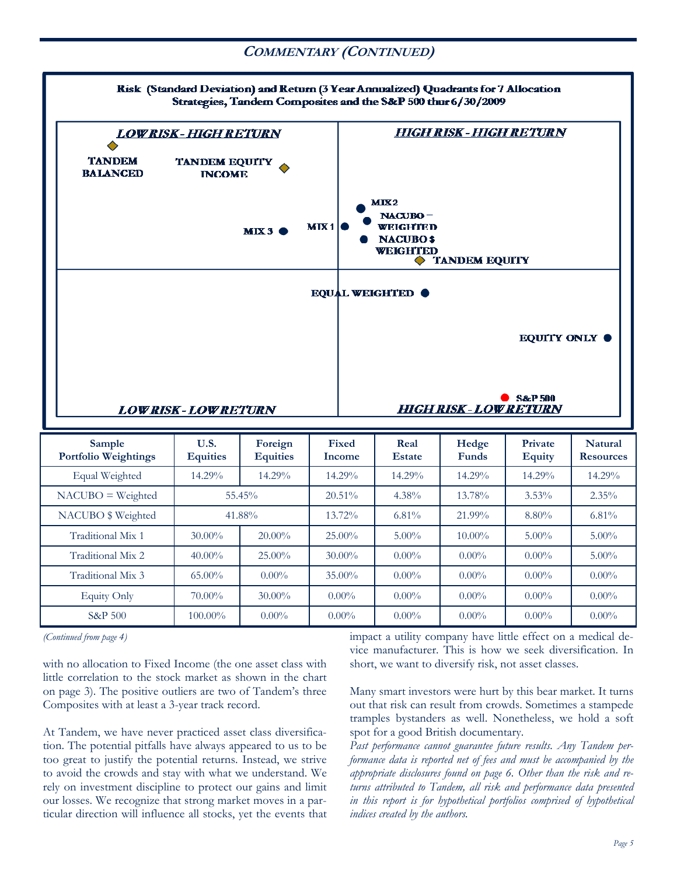## **COMMENTARY (CONTINUED)**



*(Continued from page 4)* 

with no allocation to Fixed Income (the one asset class with little correlation to the stock market as shown in the chart on page 3). The positive outliers are two of Tandem's three Composites with at least a 3-year track record.

At Tandem, we have never practiced asset class diversification. The potential pitfalls have always appeared to us to be too great to justify the potential returns. Instead, we strive to avoid the crowds and stay with what we understand. We rely on investment discipline to protect our gains and limit our losses. We recognize that strong market moves in a particular direction will influence all stocks, yet the events that impact a utility company have little effect on a medical device manufacturer. This is how we seek diversification. In short, we want to diversify risk, not asset classes.

Many smart investors were hurt by this bear market. It turns out that risk can result from crowds. Sometimes a stampede tramples bystanders as well. Nonetheless, we hold a soft spot for a good British documentary.

*Past performance cannot guarantee future results. Any Tandem performance data is reported net of fees and must be accompanied by the appropriate disclosures found on page 6. Other than the risk and returns attributed to Tandem, all risk and performance data presented in this report is for hypothetical portfolios comprised of hypothetical indices created by the authors.*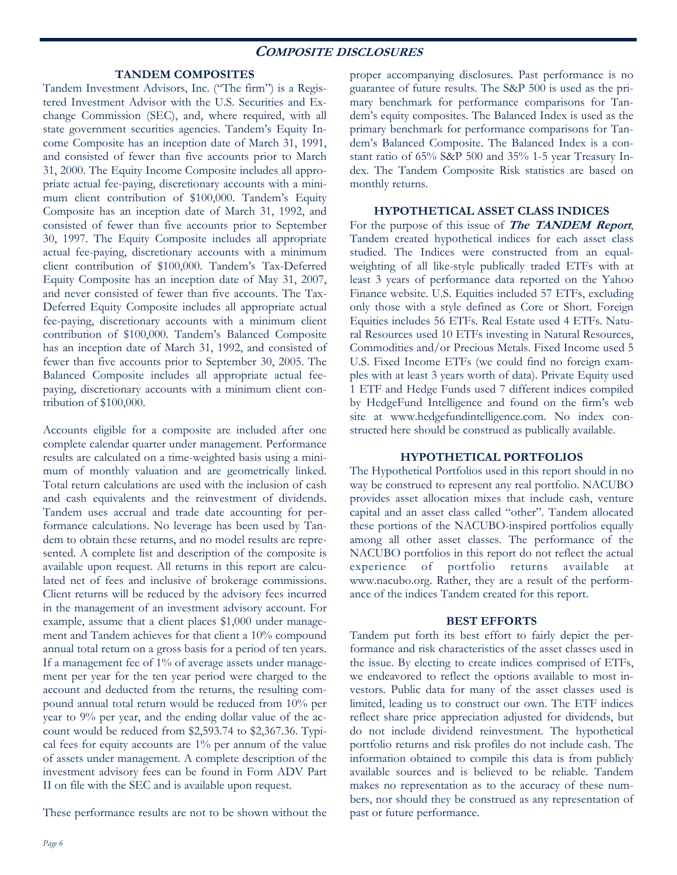## **COMPOSITE DISCLOSURES**

## **TANDEM COMPOSITES**

Tandem Investment Advisors, Inc. ("The firm") is a Registered Investment Advisor with the U.S. Securities and Exchange Commission (SEC), and, where required, with all state government securities agencies. Tandem's Equity Income Composite has an inception date of March 31, 1991, and consisted of fewer than five accounts prior to March 31, 2000. The Equity Income Composite includes all appropriate actual fee-paying, discretionary accounts with a minimum client contribution of \$100,000. Tandem's Equity Composite has an inception date of March 31, 1992, and consisted of fewer than five accounts prior to September 30, 1997. The Equity Composite includes all appropriate actual fee-paying, discretionary accounts with a minimum client contribution of \$100,000. Tandem's Tax-Deferred Equity Composite has an inception date of May 31, 2007, and never consisted of fewer than five accounts. The Tax-Deferred Equity Composite includes all appropriate actual fee-paying, discretionary accounts with a minimum client contribution of \$100,000. Tandem's Balanced Composite has an inception date of March 31, 1992, and consisted of fewer than five accounts prior to September 30, 2005. The Balanced Composite includes all appropriate actual feepaying, discretionary accounts with a minimum client contribution of \$100,000.

Accounts eligible for a composite are included after one complete calendar quarter under management. Performance results are calculated on a time-weighted basis using a minimum of monthly valuation and are geometrically linked. Total return calculations are used with the inclusion of cash and cash equivalents and the reinvestment of dividends. Tandem uses accrual and trade date accounting for performance calculations. No leverage has been used by Tandem to obtain these returns, and no model results are represented. A complete list and description of the composite is available upon request. All returns in this report are calculated net of fees and inclusive of brokerage commissions. Client returns will be reduced by the advisory fees incurred in the management of an investment advisory account. For example, assume that a client places \$1,000 under management and Tandem achieves for that client a 10% compound annual total return on a gross basis for a period of ten years. If a management fee of 1% of average assets under management per year for the ten year period were charged to the account and deducted from the returns, the resulting compound annual total return would be reduced from 10% per year to 9% per year, and the ending dollar value of the account would be reduced from \$2,593.74 to \$2,367.36. Typical fees for equity accounts are 1% per annum of the value of assets under management. A complete description of the investment advisory fees can be found in Form ADV Part II on file with the SEC and is available upon request.

These performance results are not to be shown without the

proper accompanying disclosures. Past performance is no guarantee of future results. The S&P 500 is used as the primary benchmark for performance comparisons for Tandem's equity composites. The Balanced Index is used as the primary benchmark for performance comparisons for Tandem's Balanced Composite. The Balanced Index is a constant ratio of 65% S&P 500 and 35% 1-5 year Treasury Index. The Tandem Composite Risk statistics are based on monthly returns.

## **HYPOTHETICAL ASSET CLASS INDICES**

For the purpose of this issue of **The TANDEM Report**, Tandem created hypothetical indices for each asset class studied. The Indices were constructed from an equalweighting of all like-style publically traded ETFs with at least 3 years of performance data reported on the Yahoo Finance website. U.S. Equities included 57 ETFs, excluding only those with a style defined as Core or Short. Foreign Equities includes 56 ETFs. Real Estate used 4 ETFs. Natural Resources used 10 ETFs investing in Natural Resources, Commodities and/or Precious Metals. Fixed Income used 5 U.S. Fixed Income ETFs (we could find no foreign examples with at least 3 years worth of data). Private Equity used 1 ETF and Hedge Funds used 7 different indices compiled by HedgeFund Intelligence and found on the firm's web site at www.hedgefundintelligence.com. No index constructed here should be construed as publically available.

## **HYPOTHETICAL PORTFOLIOS**

The Hypothetical Portfolios used in this report should in no way be construed to represent any real portfolio. NACUBO provides asset allocation mixes that include cash, venture capital and an asset class called "other". Tandem allocated these portions of the NACUBO-inspired portfolios equally among all other asset classes. The performance of the NACUBO portfolios in this report do not reflect the actual experience of portfolio returns available at www.nacubo.org. Rather, they are a result of the performance of the indices Tandem created for this report.

#### **BEST EFFORTS**

Tandem put forth its best effort to fairly depict the performance and risk characteristics of the asset classes used in the issue. By electing to create indices comprised of ETFs, we endeavored to reflect the options available to most investors. Public data for many of the asset classes used is limited, leading us to construct our own. The ETF indices reflect share price appreciation adjusted for dividends, but do not include dividend reinvestment. The hypothetical portfolio returns and risk profiles do not include cash. The information obtained to compile this data is from publicly available sources and is believed to be reliable. Tandem makes no representation as to the accuracy of these numbers, nor should they be construed as any representation of past or future performance.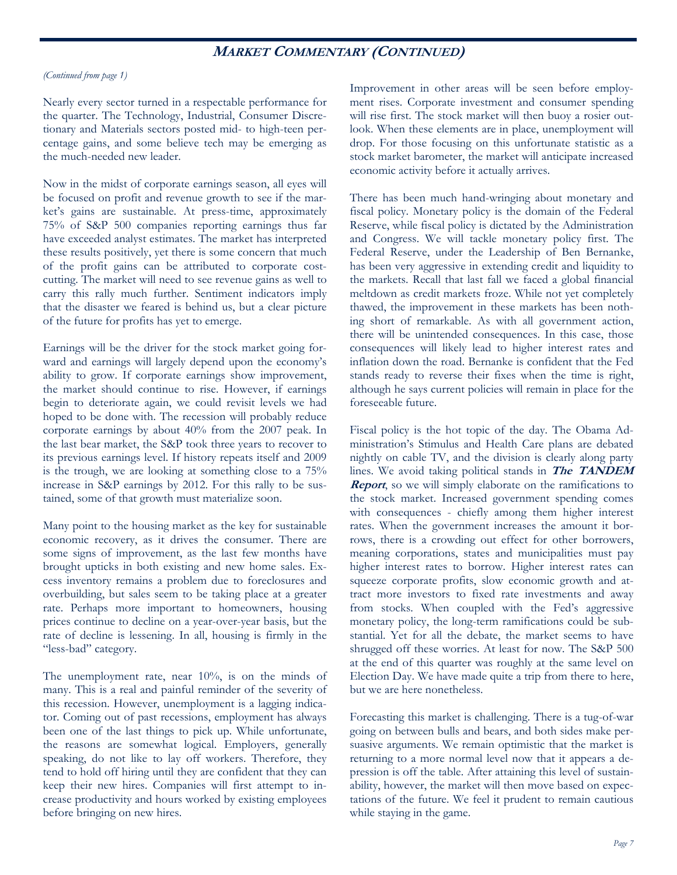## **MARKET COMMENTARY (CONTINUED)**

### *(Continued from page 1)*

Nearly every sector turned in a respectable performance for the quarter. The Technology, Industrial, Consumer Discretionary and Materials sectors posted mid- to high-teen percentage gains, and some believe tech may be emerging as the much-needed new leader.

Now in the midst of corporate earnings season, all eyes will be focused on profit and revenue growth to see if the market's gains are sustainable. At press-time, approximately 75% of S&P 500 companies reporting earnings thus far have exceeded analyst estimates. The market has interpreted these results positively, yet there is some concern that much of the profit gains can be attributed to corporate costcutting. The market will need to see revenue gains as well to carry this rally much further. Sentiment indicators imply that the disaster we feared is behind us, but a clear picture of the future for profits has yet to emerge.

Earnings will be the driver for the stock market going forward and earnings will largely depend upon the economy's ability to grow. If corporate earnings show improvement, the market should continue to rise. However, if earnings begin to deteriorate again, we could revisit levels we had hoped to be done with. The recession will probably reduce corporate earnings by about 40% from the 2007 peak. In the last bear market, the S&P took three years to recover to its previous earnings level. If history repeats itself and 2009 is the trough, we are looking at something close to a 75% increase in S&P earnings by 2012. For this rally to be sustained, some of that growth must materialize soon.

Many point to the housing market as the key for sustainable economic recovery, as it drives the consumer. There are some signs of improvement, as the last few months have brought upticks in both existing and new home sales. Excess inventory remains a problem due to foreclosures and overbuilding, but sales seem to be taking place at a greater rate. Perhaps more important to homeowners, housing prices continue to decline on a year-over-year basis, but the rate of decline is lessening. In all, housing is firmly in the "less-bad" category.

The unemployment rate, near 10%, is on the minds of many. This is a real and painful reminder of the severity of this recession. However, unemployment is a lagging indicator. Coming out of past recessions, employment has always been one of the last things to pick up. While unfortunate, the reasons are somewhat logical. Employers, generally speaking, do not like to lay off workers. Therefore, they tend to hold off hiring until they are confident that they can keep their new hires. Companies will first attempt to increase productivity and hours worked by existing employees before bringing on new hires.

Improvement in other areas will be seen before employment rises. Corporate investment and consumer spending will rise first. The stock market will then buoy a rosier outlook. When these elements are in place, unemployment will drop. For those focusing on this unfortunate statistic as a stock market barometer, the market will anticipate increased economic activity before it actually arrives.

There has been much hand-wringing about monetary and fiscal policy. Monetary policy is the domain of the Federal Reserve, while fiscal policy is dictated by the Administration and Congress. We will tackle monetary policy first. The Federal Reserve, under the Leadership of Ben Bernanke, has been very aggressive in extending credit and liquidity to the markets. Recall that last fall we faced a global financial meltdown as credit markets froze. While not yet completely thawed, the improvement in these markets has been nothing short of remarkable. As with all government action, there will be unintended consequences. In this case, those consequences will likely lead to higher interest rates and inflation down the road. Bernanke is confident that the Fed stands ready to reverse their fixes when the time is right, although he says current policies will remain in place for the foreseeable future.

Fiscal policy is the hot topic of the day. The Obama Administration's Stimulus and Health Care plans are debated nightly on cable TV, and the division is clearly along party lines. We avoid taking political stands in **The TANDEM Report**, so we will simply elaborate on the ramifications to the stock market. Increased government spending comes with consequences - chiefly among them higher interest rates. When the government increases the amount it borrows, there is a crowding out effect for other borrowers, meaning corporations, states and municipalities must pay higher interest rates to borrow. Higher interest rates can squeeze corporate profits, slow economic growth and attract more investors to fixed rate investments and away from stocks. When coupled with the Fed's aggressive monetary policy, the long-term ramifications could be substantial. Yet for all the debate, the market seems to have shrugged off these worries. At least for now. The S&P 500 at the end of this quarter was roughly at the same level on Election Day. We have made quite a trip from there to here, but we are here nonetheless.

Forecasting this market is challenging. There is a tug-of-war going on between bulls and bears, and both sides make persuasive arguments. We remain optimistic that the market is returning to a more normal level now that it appears a depression is off the table. After attaining this level of sustainability, however, the market will then move based on expectations of the future. We feel it prudent to remain cautious while staying in the game.